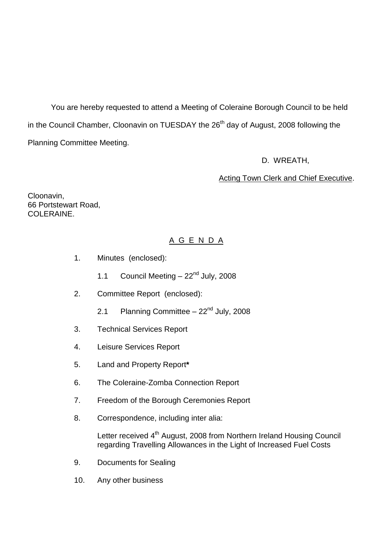You are hereby requested to attend a Meeting of Coleraine Borough Council to be held in the Council Chamber, Cloonavin on TUESDAY the 26<sup>th</sup> day of August, 2008 following the Planning Committee Meeting.

D. WREATH,

## Acting Town Clerk and Chief Executive.

Cloonavin, 66 Portstewart Road, COLERAINE.

# A G E N D A

- 1. Minutes (enclosed):
	- 1.1 Council Meeting  $-22<sup>nd</sup>$  July, 2008
- 2. Committee Report (enclosed):
	- 2.1 Planning Committee  $-22<sup>nd</sup>$  July, 2008
- 3. Technical Services Report
- 4. Leisure Services Report
- 5. Land and Property Report**\***
- 6. The Coleraine-Zomba Connection Report
- 7. Freedom of the Borough Ceremonies Report
- 8. Correspondence, including inter alia:

Letter received 4<sup>th</sup> August, 2008 from Northern Ireland Housing Council regarding Travelling Allowances in the Light of Increased Fuel Costs

- 9. Documents for Sealing
- 10. Any other business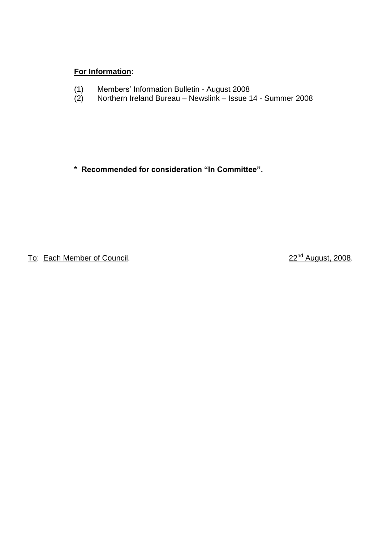## **For Information:**

- (1) Members'Information Bulletin August 2008
- (2) Northern Ireland Bureau Newslink Issue 14 Summer 2008

\* Recommended for consideration "In Committee".

To: Each Member of Council. 22<sup>nd</sup> August, 2008.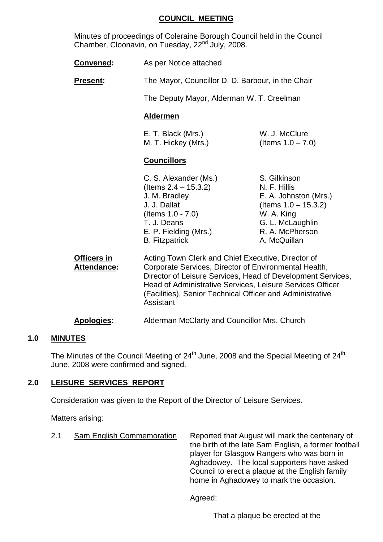#### **COUNCIL MEETING**

Minutes of proceedings of Coleraine Borough Council held in the Council Chamber, Cloonavin, on Tuesday, 22<sup>nd</sup> July, 2008.

| <b>Convened:</b> | As per Notice attached |
|------------------|------------------------|
|------------------|------------------------|

**Present:** The Mayor, Councillor D. D. Barbour, in the Chair

The Deputy Mayor, Alderman W. T. Creelman

#### **Aldermen**

| E. T. Black (Mrs.)  | W. J. McClure        |
|---------------------|----------------------|
| M. T. Hickey (Mrs.) | (Items $1.0 - 7.0$ ) |

#### **Councillors**

S. Gilkinson N. F. Hillis E. A. Johnston (Mrs.)  $($  Items  $1.0 - 15.3.2)$ W. A. King G. L. McLaughlin R. A. McPherson A. McQuillan

**Officers in The Acting Town Clerk and Chief Executive, Director of Attendance:** Corporate Services, Director of Environmental Health, Director of Leisure Services, Head of Development Services, Head of Administrative Services, Leisure Services Officer (Facilities), Senior Technical Officer and Administrative Assistant

**Apologies:** Alderman McClarty and Councillor Mrs. Church

#### **1.0 MINUTES**

The Minutes of the Council Meeting of  $24<sup>th</sup>$  June, 2008 and the Special Meeting of  $24<sup>th</sup>$ June, 2008 were confirmed and signed.

#### **2.0 LEISURE SERVICES REPORT**

Consideration was given to the Report of the Director of Leisure Services.

Matters arising:

2.1 Sam English Commemoration Reported that August will mark the centenary of the birth of the late Sam English, a former football player for Glasgow Rangers who was born in Aghadowey. The local supporters have asked Council to erect a plaque at the English family home in Aghadowey to mark the occasion.

Agreed:

That a plaque be erected at the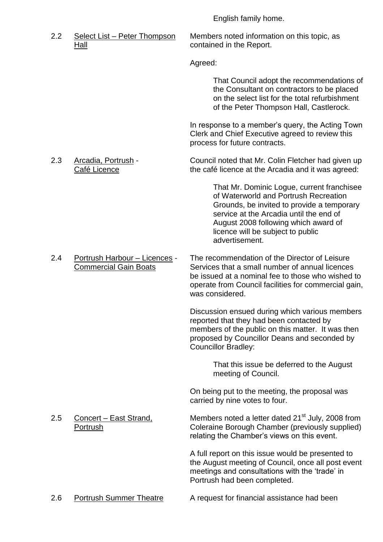English family home.

Hall contained in the Report.

2.2 Select List – Peter Thompson Members noted information on this topic, as

Agreed:

That Council adopt the recommendations of the Consultant on contractors to be placed on the select list for the total refurbishment of the Peter Thompson Hall, Castlerock.

In response to a member's query, the Acting Town Clerk and Chief Executive agreed to review this process for future contracts.

2.3 Arcadia, Portrush - Council noted that Mr. Colin Fletcher had given up Café Licence **the café licence at the Arcadia and it was agreed:** 

> That Mr. Dominic Logue, current franchisee of Waterworld and Portrush Recreation Grounds, be invited to provide a temporary service at the Arcadia until the end of August 2008 following which award of licence will be subject to public advertisement.

2.4 Portrush Harbour –Licences - The recommendation of the Director of Leisure Commercial Gain Boats Services that a small number of annual licences be issued at a nominal fee to those who wished to operate from Council facilities for commercial gain, was considered.

> Discussion ensued during which various members reported that they had been contacted by members of the public on this matter. It was then proposed by Councillor Deans and seconded by Councillor Bradley:

> > That this issue be deferred to the August meeting of Council.

On being put to the meeting, the proposal was carried by nine votes to four.

2.5 Concert – East Strand, Members noted a letter dated  $21^{st}$  July, 2008 from Portrush Coleraine Borough Chamber (previously supplied) relating the Chamber's views on this event.

> A full report on this issue would be presented to the August meeting of Council, once all post event meetings and consultations with the 'trade' in Portrush had been completed.

2.6 Portrush Summer Theatre A request for financial assistance had been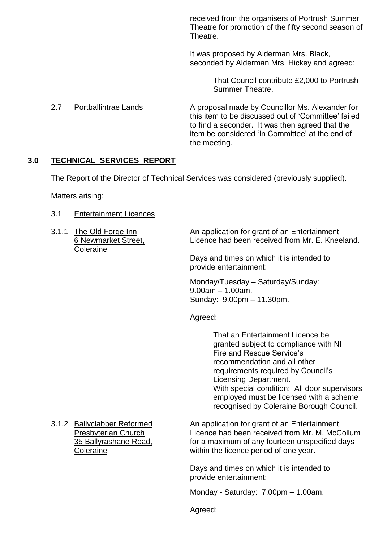received from the organisers of Portrush Summer Theatre for promotion of the fifty second season of Theatre.

It was proposed by Alderman Mrs. Black, seconded by Alderman Mrs. Hickey and agreed:

> That Council contribute £2,000 to Portrush Summer Theatre.

2.7 Portballintrae Lands A proposal made by Councillor Ms. Alexander for this item to be discussed out of 'Committee' failed to find a seconder. It was then agreed that the item be considered 'In Committee' at the end of the meeting.

## **3.0 TECHNICAL SERVICES REPORT**

The Report of the Director of Technical Services was considered (previously supplied).

Matters arising:

- 3.1 Entertainment Licences
- **Coleraine**

3.1.1 The Old Forge Inn An application for grant of an Entertainment 6 Newmarket Street, Licence had been received from Mr. E. Kneeland.

> Days and times on which it is intended to provide entertainment:

Monday/Tuesday - Saturday/Sunday:  $9.00$ am – 1.00am. Sunday: 9.00pm –11.30pm.

Agreed:

That an Entertainment Licence be granted subject to compliance with NI Fire and Rescue Service's recommendation and all other requirements required by Council's Licensing Department. With special condition: All door supervisors employed must be licensed with a scheme recognised by Coleraine Borough Council.

3.1.2 Ballyclabber Reformed An application for grant of an Entertainment Presbyterian Church Licence had been received from Mr. M. McCollum 35 Ballyrashane Road, for a maximum of any fourteen unspecified days Coleraine within the licence period of one year.

> Days and times on which it is intended to provide entertainment:

Monday - Saturday: 7.00pm - 1.00am.

Agreed: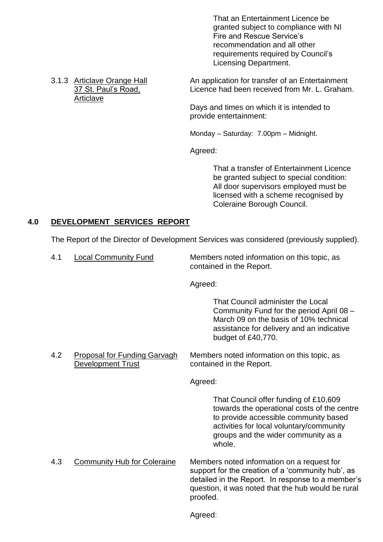That an Entertainment Licence be granted subject to compliance with NI Fire and Rescue Service's recommendation and all other requirements required by Council's Licensing Department.

Articlave

3.1.3 Articlave Orange Hall An application for transfer of an Entertainment 37 St. Paul's Road. Licence had been received from Mr. L. Graham.

> Days and times on which it is intended to provide entertainment:

Monday – Saturday: 7.00pm – Midnight.

Agreed:

That a transfer of Entertainment Licence be granted subject to special condition: All door supervisors employed must be licensed with a scheme recognised by Coleraine Borough Council.

## **4.0 DEVELOPMENT SERVICES REPORT**

The Report of the Director of Development Services was considered (previously supplied).

4.1 Local Community Fund Members noted information on this topic, as contained in the Report.

Agreed:

That Council administer the Local Community Fund for the period April 08 – March 09 on the basis of 10% technical assistance for delivery and an indicative budget of £40,770.

4.2 Proposal for Funding Garvagh Members noted information on this topic, as Development Trust **Contained in the Report.** 

Agreed:

That Council offer funding of £10,609 towards the operational costs of the centre to provide accessible community based activities for local voluntary/community groups and the wider community as a whole.

4.3 Community Hub for Coleraine Members noted information on a request for support for the creation of a 'community hub', as detailed in the Report. In response to a member's question, it was noted that the hub would be rural proofed.

Agreed: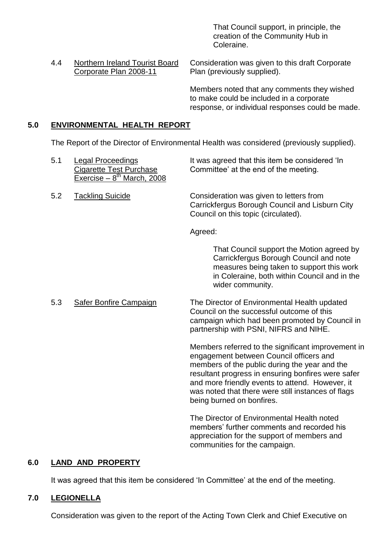That Council support, in principle, the creation of the Community Hub in Coleraine.

4.4 Northern Ireland Tourist Board Consideration was given to this draft Corporate Corporate Plan 2008-11 Plan (previously supplied).

> Members noted that any comments they wished to make could be included in a corporate response, or individual responses could be made.

## **5.0 ENVIRONMENTAL HEALTH REPORT**

The Report of the Director of Environmental Health was considered (previously supplied).

| 5.1 | <b>Legal Proceedings</b><br><b>Cigarette Test Purchase</b><br>Exercise - $8^{th}$ March, 2008 | It was agreed that this item be considered 'In<br>Committee' at the end of the meeting.                                                                                                                                                                 |
|-----|-----------------------------------------------------------------------------------------------|---------------------------------------------------------------------------------------------------------------------------------------------------------------------------------------------------------------------------------------------------------|
| 5.2 | <b>Tackling Suicide</b>                                                                       | Consideration was given to letters from<br>Carrickfergus Borough Council and Lisburn City<br>Council on this topic (circulated).                                                                                                                        |
|     |                                                                                               | Agreed:                                                                                                                                                                                                                                                 |
|     |                                                                                               | That Council support the Motion agreed by<br>Carrickfergus Borough Council and note<br>measures being taken to support this work<br>in Coleraine, both within Council and in the<br>wider community.                                                    |
| 5.3 | <b>Safer Bonfire Campaign</b>                                                                 | The Director of Environmental Health updated<br>Council on the successful outcome of this<br>campaign which had been promoted by Council in<br>partnership with PSNI, NIFRS and NIHE.                                                                   |
|     |                                                                                               | Members referred to the significant improvement in<br>engagement between Council officers and<br>members of the public during the year and the<br>resultant progress in ensuring bonfires were safer<br>and more friendly events to attend. However, it |

The Director of Environmental Health noted members' further comments and recorded his appreciation for the support of members and communities for the campaign.

was noted that there were still instances of flags

being burned on bonfires.

#### **6.0 LAND AND PROPERTY**

It was agreed that this item be considered 'In Committee' at the end of the meeting.

## **7.0 LEGIONELLA**

Consideration was given to the report of the Acting Town Clerk and Chief Executive on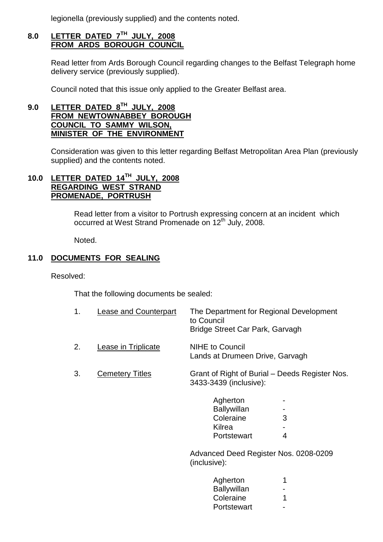legionella (previously supplied) and the contents noted.

# **8.0 LETTER DATED 7TH JULY, 2008 FROM ARDS BOROUGH COUNCIL**

Read letter from Ards Borough Council regarding changes to the Belfast Telegraph home delivery service (previously supplied).

Council noted that this issue only applied to the Greater Belfast area.

## **9.0 LETTER DATED 8TH JULY, 2008 FROM NEWTOWNABBEY BOROUGH COUNCIL TO SAMMY WILSON, MINISTER OF THE ENVIRONMENT**

Consideration was given to this letter regarding Belfast Metropolitan Area Plan (previously supplied) and the contents noted.

## **10.0 LETTER DATED 14TH JULY, 2008 REGARDING WEST STRAND PROMENADE, PORTRUSH**

Read letter from a visitor to Portrush expressing concern at an incident which occurred at West Strand Promenade on 12<sup>th</sup> July, 2008.

Noted.

## **11.0 DOCUMENTS FOR SEALING**

Resolved:

That the following documents be sealed:

| Lease and Counterpart | The Department for Regional Development |
|-----------------------|-----------------------------------------|
|                       | to Council                              |
|                       | Bridge Street Car Park, Garvagh         |
|                       |                                         |

- 2. Lease in Triplicate NIHE to Council Lands at Drumeen Drive, Garvagh
- 3. Cemetery Titles Grant of Right of Burial –Deeds Register Nos. 3433-3439 (inclusive):

| Agherton    |   |
|-------------|---|
| Ballywillan |   |
| Coleraine   | З |
| Kilrea      |   |
| Portstewart | 4 |

Advanced Deed Register Nos. 0208-0209 (inclusive):

| Agherton           |   |
|--------------------|---|
| <b>Ballywillan</b> |   |
| Coleraine          | 1 |
| Portstewart        |   |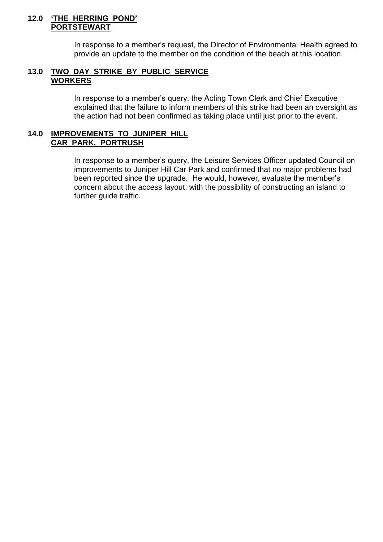#### **12.0 'THE HERRING POND' PORTSTEWART**

In response to a member's request, the Director of Environmental Health agreed to provide an update to the member on the condition of the beach at this location.

#### **13.0 TWO DAY STRIKE BY PUBLIC SERVICE WORKERS**

In response to a member's query, the Acting Town Clerk and Chief Executive explained that the failure to inform members of this strike had been an oversight as the action had not been confirmed as taking place until just prior to the event.

#### **14.0 IMPROVEMENTS TO JUNIPER HILL CAR PARK, PORTRUSH**

In response to a member's query, the Leisure Services Officer updated Council on improvements to Juniper Hill Car Park and confirmed that no major problems had been reported since the upgrade. He would, however, evaluate the member's concern about the access layout, with the possibility of constructing an island to further guide traffic.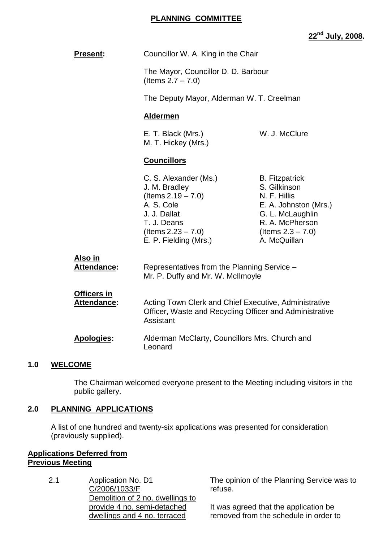### **PLANNING COMMITTEE**

**22nd July, 2008.**

| <b>Present:</b>                   | Councillor W. A. King in the Chair                                                                                                                               |                                                                                                                                                               |
|-----------------------------------|------------------------------------------------------------------------------------------------------------------------------------------------------------------|---------------------------------------------------------------------------------------------------------------------------------------------------------------|
|                                   | The Mayor, Councillor D. D. Barbour<br>(Items $2.7 - 7.0$ )                                                                                                      |                                                                                                                                                               |
|                                   | The Deputy Mayor, Alderman W. T. Creelman                                                                                                                        |                                                                                                                                                               |
|                                   | <b>Aldermen</b>                                                                                                                                                  |                                                                                                                                                               |
|                                   | E. T. Black (Mrs.)<br>M. T. Hickey (Mrs.)                                                                                                                        | W. J. McClure                                                                                                                                                 |
|                                   | <b>Councillors</b>                                                                                                                                               |                                                                                                                                                               |
|                                   | C. S. Alexander (Ms.)<br>J. M. Bradley<br>(Items $2.19 - 7.0$ )<br>A. S. Cole<br>J. J. Dallat<br>T. J. Deans<br>$($ ltems 2.23 $- 7.0)$<br>E. P. Fielding (Mrs.) | <b>B.</b> Fitzpatrick<br>S. Gilkinson<br>N. F. Hillis<br>E. A. Johnston (Mrs.)<br>G. L. McLaughlin<br>R. A. McPherson<br>(Items $2.3 - 7.0$ )<br>A. McQuillan |
| Also in<br>Attendance:            | Representatives from the Planning Service -<br>Mr. P. Duffy and Mr. W. McIlmoyle                                                                                 |                                                                                                                                                               |
| <b>Officers in</b><br>Attendance: | Acting Town Clerk and Chief Executive, Administrative<br>Officer, Waste and Recycling Officer and Administrative<br>Assistant                                    |                                                                                                                                                               |
| <b>Apologies:</b>                 | Alderman McClarty, Councillors Mrs. Church and<br>Leonard                                                                                                        |                                                                                                                                                               |
| <b>WELCOME</b>                    |                                                                                                                                                                  |                                                                                                                                                               |

The Chairman welcomed everyone present to the Meeting including visitors in the public gallery.

## **2.0 PLANNING APPLICATIONS**

A list of one hundred and twenty-six applications was presented for consideration (previously supplied).

## **Applications Deferred from Previous Meeting**

 $1.0$ 

2.1 Application No. D1 C/2006/1033/F Demolition of 2 no. dwellings to provide 4 no. semi-detached dwellings and 4 no. terraced

The opinion of the Planning Service was to refuse.

It was agreed that the application be removed from the schedule in order to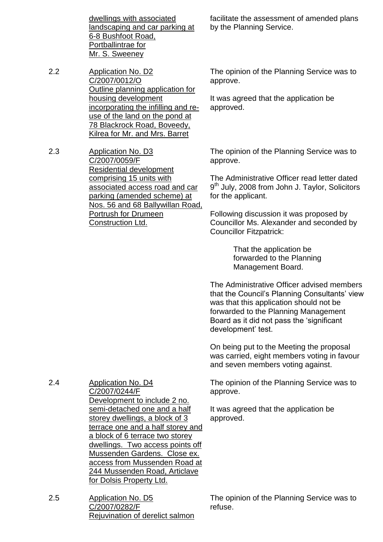dwellings with associated landscaping and car parking at 6-8 Bushfoot Road, Portballintrae for Mr. S. Sweeney

2.2 Application No. D2 C/2007/0012/O Outline planning application for housing development incorporating the infilling and reuse of the land on the pond at 78 Blackrock Road, Boveedy, Kilrea for Mr. and Mrs. Barret

2.3 Application No. D3 C/2007/0059/F Residential development comprising 15 units with associated access road and car parking (amended scheme) at Nos. 56 and 68 Ballywillan Road, Portrush for Drumeen Construction Ltd.

facilitate the assessment of amended plans by the Planning Service.

The opinion of the Planning Service was to approve.

It was agreed that the application be approved.

The opinion of the Planning Service was to approve.

The Administrative Officer read letter dated 9<sup>th</sup> July, 2008 from John J. Taylor, Solicitors for the applicant.

Following discussion it was proposed by Councillor Ms. Alexander and seconded by Councillor Fitzpatrick:

> That the application be forwarded to the Planning Management Board.

The Administrative Officer advised members that the Council's Planning Consultants' view was that this application should not be forwarded to the Planning Management Board as it did not pass the 'significant development' test.

On being put to the Meeting the proposal was carried, eight members voting in favour and seven members voting against.

The opinion of the Planning Service was to approve.

It was agreed that the application be approved.

2.4 Application No. D4 C/2007/0244/F Development to include 2 no. semi-detached one and a half storey dwellings, a block of 3 terrace one and a half storey and a block of 6 terrace two storey dwellings. Two access points off Mussenden Gardens. Close ex. access from Mussenden Road at 244 Mussenden Road, Articlave for Dolsis Property Ltd.

2.5 Application No. D5 C/2007/0282/F Rejuvination of derelict salmon The opinion of the Planning Service was to refuse.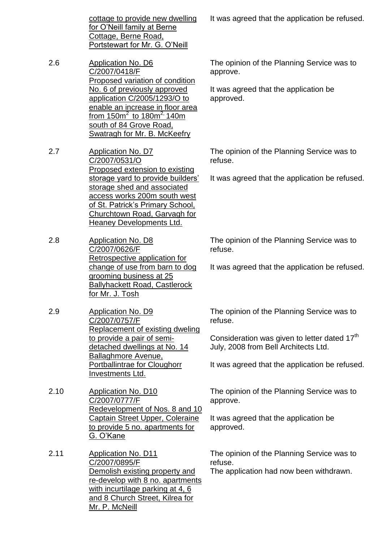cottage to provide new dwelling for O'Neill family at Berne Cottage, Berne Road, Portstewart for Mr. G. O'Neill

- 2.6 Application No. D6 C/2007/0418/F Proposed variation of condition No. 6 of previously approved application C/2005/1293/O to enable an increase in floor area from 150 $m^2$  to 180 $m^{2}$  140 $m$ south of 84 Grove Road, Swatragh for Mr. B. McKeefry
- 2.7 Application No. D7 C/2007/0531/O Proposed extension to existing storage yard to provide builders' storage shed and associated access works 200m south west of St. Patrick's Primary School, Churchtown Road, Garvagh for Heaney Developments Ltd.
- 2.8 Application No. D8 C/2007/0626/F Retrospective application for change of use from barn to dog grooming business at 25 Ballyhackett Road, Castlerock for Mr. J. Tosh
- 2.9 Application No. D9 C/2007/0757/F Replacement of existing dweling to provide a pair of semidetached dwellings at No. 14 Ballaghmore Avenue, Portballintrae for Cloughorr Investments Ltd.
- 2.10 Application No. D10 C/2007/0777/F Redevelopment of Nos. 8 and 10 Captain Street Upper, Coleraine to provide 5 no. apartments for G.O'Kane
- 2.11 Application No. D11 C/2007/0895/F Demolish existing property and re-develop with 8 no. apartments with incurtilage parking at 4, 6 and 8 Church Street, Kilrea for Mr. P. McNeill

It was agreed that the application be refused.

The opinion of the Planning Service was to approve.

It was agreed that the application be approved.

The opinion of the Planning Service was to refuse.

It was agreed that the application be refused.

The opinion of the Planning Service was to refuse.

It was agreed that the application be refused.

The opinion of the Planning Service was to refuse.

Consideration was given to letter dated 17<sup>th</sup> July, 2008 from Bell Architects Ltd.

It was agreed that the application be refused.

The opinion of the Planning Service was to approve.

It was agreed that the application be approved.

The opinion of the Planning Service was to refuse.

The application had now been withdrawn.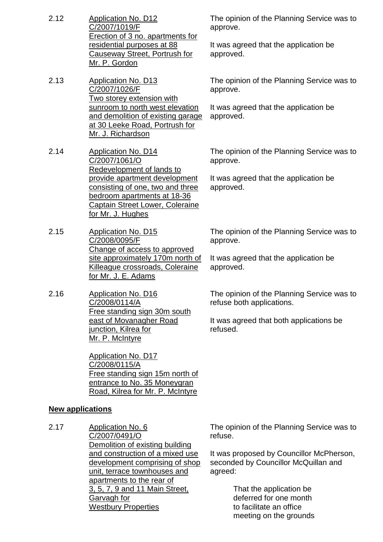- 2.12 Application No. D12 C/2007/1019/F Erection of 3 no. apartments for residential purposes at 88 Causeway Street, Portrush for Mr. P. Gordon
- 2.13 Application No. D13 C/2007/1026/F Two storey extension with sunroom to north west elevation and demolition of existing garage at 30 Leeke Road, Portrush for Mr. J. Richardson
- 2.14 Application No. D14 C/2007/1061/O Redevelopment of lands to provide apartment development consisting of one, two and three bedroom apartments at 18-36 Captain Street Lower, Coleraine for Mr. J. Hughes
- 2.15 Application No. D15 C/2008/0095/F Change of access to approved site approximately 170m north of Killeague crossroads, Coleraine for Mr. J. E. Adams
- 2.16 Application No. D16 C/2008/0114/A Free standing sign 30m south east of Movanagher Road junction, Kilrea for Mr. P. McIntyre

Application No. D17 C/2008/0115/A Free standing sign 15m north of entrance to No. 35 Moneygran Road, Kilrea for Mr. P. McIntyre

#### **New applications**

2.17 Application No. 6 C/2007/0491/O Demolition of existing building and construction of a mixed use development comprising of shop unit, terrace townhouses and apartments to the rear of 3, 5, 7, 9 and 11 Main Street, Garvagh for Westbury Properties

The opinion of the Planning Service was to approve.

It was agreed that the application be approved.

The opinion of the Planning Service was to approve.

It was agreed that the application be approved.

The opinion of the Planning Service was to approve.

It was agreed that the application be approved.

The opinion of the Planning Service was to approve.

It was agreed that the application be approved.

The opinion of the Planning Service was to refuse both applications.

It was agreed that both applications be refused.

The opinion of the Planning Service was to refuse.

It was proposed by Councillor McPherson, seconded by Councillor McQuillan and agreed:

> That the application be deferred for one month to facilitate an office meeting on the grounds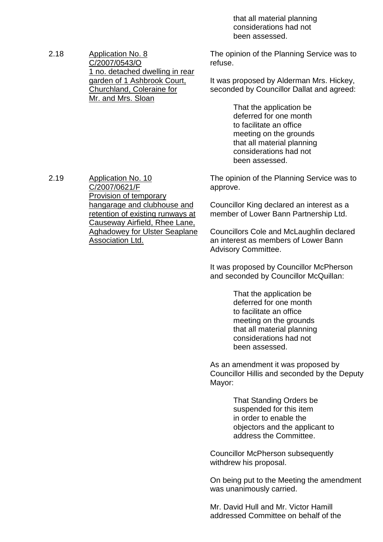that all material planning considerations had not been assessed.

2.18 Application No. 8 C/2007/0543/O 1 no. detached dwelling in rear garden of 1 Ashbrook Court, Churchland, Coleraine for Mr. and Mrs. Sloan

The opinion of the Planning Service was to refuse.

It was proposed by Alderman Mrs. Hickey, seconded by Councillor Dallat and agreed:

> That the application be deferred for one month to facilitate an office meeting on the grounds that all material planning considerations had not been assessed.

The opinion of the Planning Service was to approve.

Councillor King declared an interest as a member of Lower Bann Partnership Ltd.

Councillors Cole and McLaughlin declared an interest as members of Lower Bann Advisory Committee.

It was proposed by Councillor McPherson and seconded by Councillor McQuillan:

> That the application be deferred for one month to facilitate an office meeting on the grounds that all material planning considerations had not been assessed.

As an amendment it was proposed by Councillor Hillis and seconded by the Deputy Mayor:

> That Standing Orders be suspended for this item in order to enable the objectors and the applicant to address the Committee.

Councillor McPherson subsequently withdrew his proposal.

On being put to the Meeting the amendment was unanimously carried.

Mr. David Hull and Mr. Victor Hamill addressed Committee on behalf of the

2.19 Application No. 10 C/2007/0621/F Provision of temporary hangarage and clubhouse and retention of existing runways at Causeway Airfield, Rhee Lane, Aghadowey for Ulster Seaplane Association Ltd.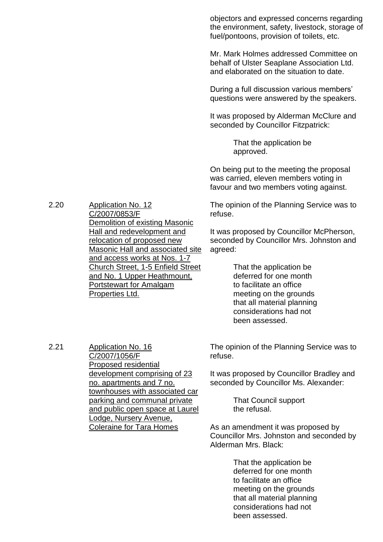objectors and expressed concerns regarding the environment, safety, livestock, storage of fuel/pontoons, provision of toilets, etc.

Mr. Mark Holmes addressed Committee on behalf of Ulster Seaplane Association Ltd. and elaborated on the situation to date.

During a full discussion various members' questions were answered by the speakers.

It was proposed by Alderman McClure and seconded by Councillor Fitzpatrick:

> That the application be approved.

On being put to the meeting the proposal was carried, eleven members voting in favour and two members voting against.

The opinion of the Planning Service was to refuse.

It was proposed by Councillor McPherson, seconded by Councillor Mrs. Johnston and agreed:

> That the application be deferred for one month to facilitate an office meeting on the grounds that all material planning considerations had not been assessed.

The opinion of the Planning Service was to refuse.

It was proposed by Councillor Bradley and seconded by Councillor Ms. Alexander:

> That Council support the refusal.

As an amendment it was proposed by Councillor Mrs. Johnston and seconded by Alderman Mrs. Black:

> That the application be deferred for one month to facilitate an office meeting on the grounds that all material planning considerations had not been assessed.

2.20 Application No. 12 C/2007/0853/F Demolition of existing Masonic Hall and redevelopment and relocation of proposed new Masonic Hall and associated site and access works at Nos. 1-7 Church Street, 1-5 Enfield Street and No. 1 Upper Heathmount, Portstewart for Amalgam Properties Ltd.

2.21 Application No. 16

C/2007/1056/F Proposed residential development comprising of 23 no. apartments and 7 no. townhouses with associated car parking and communal private and public open space at Laurel Lodge, Nursery Avenue, Coleraine for Tara Homes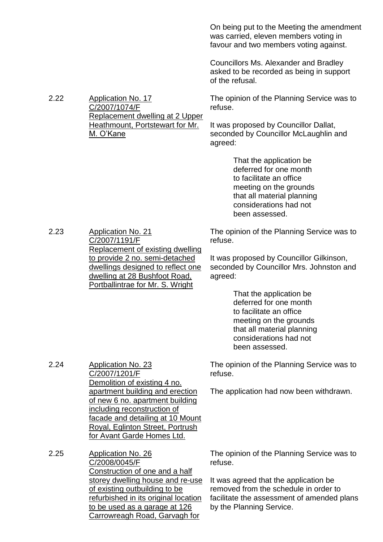On being put to the Meeting the amendment was carried, eleven members voting in favour and two members voting against.

Councillors Ms. Alexander and Bradley asked to be recorded as being in support of the refusal.

The opinion of the Planning Service was to refuse.

It was proposed by Councillor Dallat, seconded by Councillor McLaughlin and agreed:

> That the application be deferred for one month to facilitate an office meeting on the grounds that all material planning considerations had not been assessed.

2.23 Application No. 21 C/2007/1191/F Replacement of existing dwelling to provide 2 no. semi-detached dwellings designed to reflect one dwelling at 28 Bushfoot Road, Portballintrae for Mr. S. Wright

2.22 Application No. 17

C/2007/1074/F

M.O'Kane

Replacement dwelling at 2 Upper Heathmount, Portstewart for Mr.

> The opinion of the Planning Service was to refuse.

> It was proposed by Councillor Gilkinson, seconded by Councillor Mrs. Johnston and agreed:

> > That the application be deferred for one month to facilitate an office meeting on the grounds that all material planning considerations had not been assessed.

The opinion of the Planning Service was to refuse.

The application had now been withdrawn.

2.24 Application No. 23 C/2007/1201/F Demolition of existing 4 no. apartment building and erection of new 6 no. apartment building including reconstruction of facade and detailing at 10 Mount Royal, Eglinton Street, Portrush for Avant Garde Homes Ltd.

2.25 Application No. 26 C/2008/0045/F Construction of one and a half storey dwelling house and re-use of existing outbuilding to be refurbished in its original location to be used as a garage at 126 Carrowreagh Road, Garvagh for

The opinion of the Planning Service was to refuse.

It was agreed that the application be removed from the schedule in order to facilitate the assessment of amended plans by the Planning Service.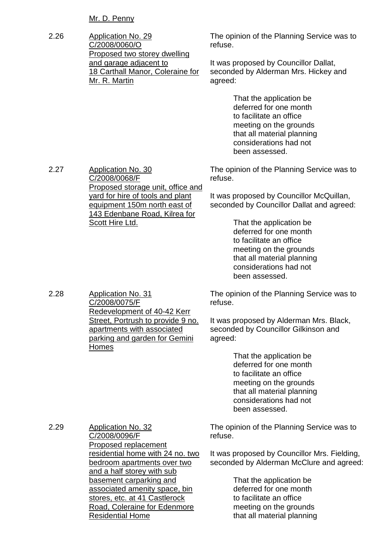Mr. D. Penny

2.26 Application No. 29 C/2008/0060/O Proposed two storey dwelling and garage adjacent to 18 Carthall Manor, Coleraine for Mr. R. Martin

C/2008/0068/F

Scott Hire Ltd.

2.28 Application No. 31

Homes

C/2008/0075/F

Redevelopment of 40-42 Kerr Street, Portrush to provide 9 no. apartments with associated parking and garden for Gemini

Proposed storage unit, office and yard for hire of tools and plant equipment 150m north east of 143 Edenbane Road, Kilrea for

The opinion of the Planning Service was to refuse.

It was proposed by Councillor Dallat, seconded by Alderman Mrs. Hickey and agreed:

> That the application be deferred for one month to facilitate an office meeting on the grounds that all material planning considerations had not been assessed.

The opinion of the Planning Service was to refuse.

It was proposed by Councillor McQuillan, seconded by Councillor Dallat and agreed:

> That the application be deferred for one month to facilitate an office meeting on the grounds that all material planning considerations had not been assessed.

The opinion of the Planning Service was to refuse.

It was proposed by Alderman Mrs. Black, seconded by Councillor Gilkinson and agreed:

> That the application be deferred for one month to facilitate an office meeting on the grounds that all material planning considerations had not been assessed.

2.29 Application No. 32 C/2008/0096/F Proposed replacement residential home with 24 no. two bedroom apartments over two and a half storey with sub basement carparking and associated amenity space, bin stores, etc. at 41 Castlerock Road, Coleraine for Edenmore Residential Home

The opinion of the Planning Service was to refuse.

It was proposed by Councillor Mrs. Fielding, seconded by Alderman McClure and agreed:

> That the application be deferred for one month to facilitate an office meeting on the grounds that all material planning

2.27 Application No. 30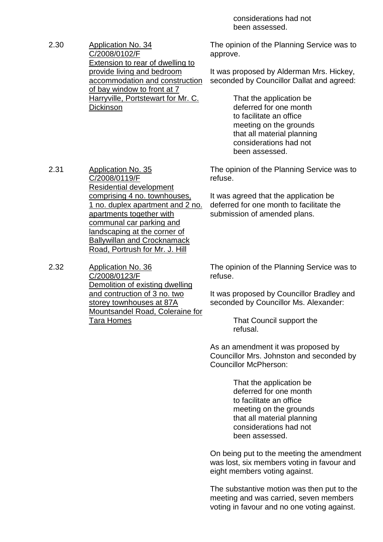considerations had not been assessed.

2.30 Application No. 34 C/2008/0102/F Extension to rear of dwelling to provide living and bedroom accommodation and construction of bay window to front at 7 Harryville, Portstewart for Mr. C. **Dickinson** 

2.31 Application No. 35

C/2008/0119/F

Residential development comprising 4 no. townhouses, 1 no. duplex apartment and 2 no.

apartments together with communal car parking and landscaping at the corner of The opinion of the Planning Service was to approve.

It was proposed by Alderman Mrs. Hickey, seconded by Councillor Dallat and agreed:

> That the application be deferred for one month to facilitate an office meeting on the grounds that all material planning considerations had not been assessed.

The opinion of the Planning Service was to refuse.

It was agreed that the application be deferred for one month to facilitate the submission of amended plans.

Ballywillan and Crocknamack Road, Portrush for Mr. J. Hill 2.32 Application No. 36 C/2008/0123/F Demolition of existing dwelling and contruction of 3 no. two storey townhouses at 87A Mountsandel Road, Coleraine for Tara Homes

The opinion of the Planning Service was to refuse.

It was proposed by Councillor Bradley and seconded by Councillor Ms. Alexander:

> That Council support the refusal.

As an amendment it was proposed by Councillor Mrs. Johnston and seconded by Councillor McPherson:

> That the application be deferred for one month to facilitate an office meeting on the grounds that all material planning considerations had not been assessed.

On being put to the meeting the amendment was lost, six members voting in favour and eight members voting against.

The substantive motion was then put to the meeting and was carried, seven members voting in favour and no one voting against.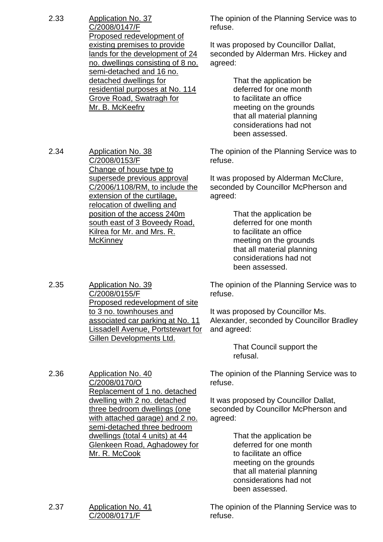| 2.33 | Application No. 37                |
|------|-----------------------------------|
|      | C/2008/0147/F                     |
|      | Proposed redevelopment of         |
|      | existing premises to provide      |
|      | lands for the development of 24   |
|      | no. dwellings consisting of 8 no. |
|      | semi-detached and 16 no.          |
|      | detached dwellings for            |
|      | residential purposes at No. 114   |
|      | Grove Road, Swatragh for          |
|      | Mr. B. McKeefry                   |

The opinion of the Planning Service was to refuse.

It was proposed by Councillor Dallat, seconded by Alderman Mrs. Hickey and agreed:

> That the application be deferred for one month to facilitate an office meeting on the grounds that all material planning considerations had not been assessed.

The opinion of the Planning Service was to refuse.

It was proposed by Alderman McClure, seconded by Councillor McPherson and agreed:

> That the application be deferred for one month to facilitate an office meeting on the grounds that all material planning considerations had not been assessed.

The opinion of the Planning Service was to refuse.

It was proposed by Councillor Ms. Alexander, seconded by Councillor Bradley and agreed:

> That Council support the refusal.

The opinion of the Planning Service was to refuse.

It was proposed by Councillor Dallat, seconded by Councillor McPherson and agreed:

> That the application be deferred for one month to facilitate an office meeting on the grounds that all material planning considerations had not been assessed.

The opinion of the Planning Service was to refuse.

2.34 Application No. 38 C/2008/0153/F Change of house type to supersede previous approval C/2006/1108/RM, to include the extension of the curtilage, relocation of dwelling and position of the access 240m south east of 3 Boveedy Road, Kilrea for Mr. and Mrs. R. **McKinney** 

2.35 Application No. 39 C/2008/0155/F Proposed redevelopment of site to 3 no. townhouses and associated car parking at No. 11 Lissadell Avenue, Portstewart for Gillen Developments Ltd.

2.36 Application No. 40 C/2008/0170/O Replacement of 1 no. detached dwelling with 2 no. detached three bedroom dwellings (one with attached garage) and 2 no. semi-detached three bedroom dwellings (total 4 units) at 44 Glenkeen Road, Aghadowey for Mr. R. McCook

2.37 Application No. 41 C/2008/0171/F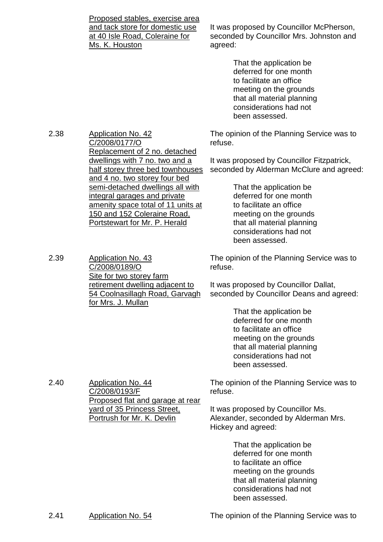Proposed stables, exercise area and tack store for domestic use at 40 Isle Road, Coleraine for Ms. K. Houston

It was proposed by Councillor McPherson, seconded by Councillor Mrs. Johnston and agreed:

> That the application be deferred for one month to facilitate an office meeting on the grounds that all material planning considerations had not been assessed.

The opinion of the Planning Service was to refuse.

It was proposed by Councillor Fitzpatrick, seconded by Alderman McClure and agreed:

> That the application be deferred for one month to facilitate an office meeting on the grounds that all material planning considerations had not been assessed.

The opinion of the Planning Service was to refuse.

It was proposed by Councillor Dallat, seconded by Councillor Deans and agreed:

> That the application be deferred for one month to facilitate an office meeting on the grounds that all material planning considerations had not been assessed.

The opinion of the Planning Service was to refuse.

It was proposed by Councillor Ms. Alexander, seconded by Alderman Mrs. Hickey and agreed:

> That the application be deferred for one month to facilitate an office meeting on the grounds that all material planning considerations had not been assessed.

2.41 Application No. 54 The opinion of the Planning Service was to

2.38 Application No. 42 C/2008/0177/O Replacement of 2 no. detached dwellings with 7 no. two and a half storey three bed townhouses and 4 no. two storey four bed semi-detached dwellings all with integral garages and private amenity space total of 11 units at 150 and 152 Coleraine Road, Portstewart for Mr. P. Herald

2.39 Application No. 43

C/2008/0189/O

for Mrs. J. Mullan

Site for two storey farm

retirement dwelling adjacent to 54 Coolnasillagh Road, Garvagh

2.40 Application No. 44 C/2008/0193/F Proposed flat and garage at rear yard of 35 Princess Street, Portrush for Mr. K. Devlin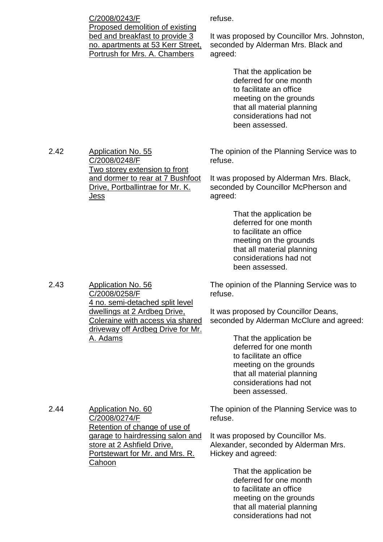| C/2008/0243/F                     |
|-----------------------------------|
| Proposed demolition of existing   |
| bed and breakfast to provide 3    |
| no. apartments at 53 Kerr Street, |
| Portrush for Mrs. A. Chambers     |
|                                   |

refuse.

It was proposed by Councillor Mrs. Johnston, seconded by Alderman Mrs. Black and agreed:

> That the application be deferred for one month to facilitate an office meeting on the grounds that all material planning considerations had not been assessed.

2.42 Application No. 55 C/2008/0248/F Two storey extension to front and dormer to rear at 7 Bushfoot Drive, Portballintrae for Mr. K. Jess

The opinion of the Planning Service was to refuse.

It was proposed by Alderman Mrs. Black, seconded by Councillor McPherson and agreed:

> That the application be deferred for one month to facilitate an office meeting on the grounds that all material planning considerations had not been assessed.

The opinion of the Planning Service was to refuse.

It was proposed by Councillor Deans, seconded by Alderman McClure and agreed:

> That the application be deferred for one month to facilitate an office meeting on the grounds that all material planning considerations had not been assessed.

The opinion of the Planning Service was to refuse.

It was proposed by Councillor Ms. Alexander, seconded by Alderman Mrs. Hickey and agreed:

> That the application be deferred for one month to facilitate an office meeting on the grounds that all material planning considerations had not

2.43 Application No. 56 C/2008/0258/F 4 no. semi-detached split level dwellings at 2 Ardbeg Drive, Coleraine with access via shared driveway off Ardbeg Drive for Mr. A. Adams

2.44 Application No. 60 C/2008/0274/F Retention of change of use of garage to hairdressing salon and store at 2 Ashfield Drive, Portstewart for Mr. and Mrs. R. **Cahoon**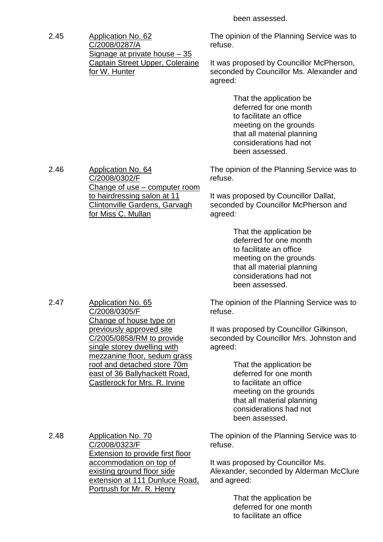been assessed.

2.45 Application No. 62 C/2008/0287/A Signage at private house –35 Captain Street Upper, Coleraine for W. Hunter

C/2008/0302/F

for Miss C. Mullan

2.47 Application No. 65

C/2008/0305/F

Change of house type on previously approved site C/2005/0858/RM to provide single storey dwelling with mezzanine floor, sedum grass roof and detached store 70m east of 36 Ballyhackett Road, Castlerock for Mrs. R. Irvine

Change of use – computer room

to hairdressing salon at 11 Clintonville Gardens, Garvagh The opinion of the Planning Service was to refuse.

It was proposed by Councillor McPherson, seconded by Councillor Ms. Alexander and agreed:

> That the application be deferred for one month to facilitate an office meeting on the grounds that all material planning considerations had not been assessed.

The opinion of the Planning Service was to refuse.

It was proposed by Councillor Dallat, seconded by Councillor McPherson and agreed:

> That the application be deferred for one month to facilitate an office meeting on the grounds that all material planning considerations had not been assessed.

The opinion of the Planning Service was to refuse.

It was proposed by Councillor Gilkinson, seconded by Councillor Mrs. Johnston and agreed:

> That the application be deferred for one month to facilitate an office meeting on the grounds that all material planning considerations had not been assessed.

2.48 Application No. 70 C/2008/0323/F Extension to provide first floor accommodation on top of existing ground floor side extension at 111 Dunluce Road, Portrush for Mr. R. Henry

The opinion of the Planning Service was to refuse.

It was proposed by Councillor Ms. Alexander, seconded by Alderman McClure and agreed:

> That the application be deferred for one month to facilitate an office

2.46 Application No. 64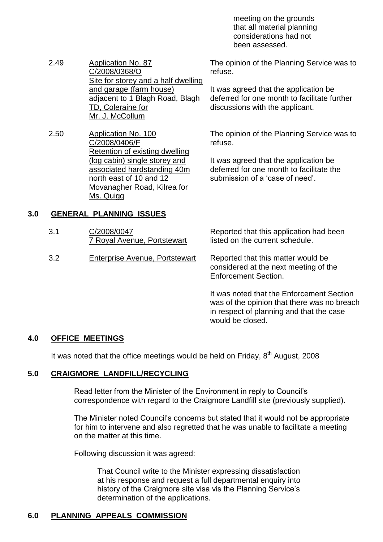meeting on the grounds that all material planning considerations had not been assessed.

2.49 Application No. 87 C/2008/0368/O Site for storey and a half dwelling and garage (farm house) adjacent to 1 Blagh Road, Blagh TD, Coleraine for Mr. J. McCollum

2.50 Application No. 100 C/2008/0406/F Retention of existing dwelling (log cabin) single storey and associated hardstanding 40m north east of 10 and 12 Movanagher Road, Kilrea for Ms. Quigg

The opinion of the Planning Service was to refuse.

It was agreed that the application be deferred for one month to facilitate further discussions with the applicant.

The opinion of the Planning Service was to refuse.

It was agreed that the application be deferred for one month to facilitate the submission of a 'case of need'.

## **3.0 GENERAL PLANNING ISSUES**

| 3.1 | C/2008/0047<br>7 Royal Avenue, Portstewart | Reported that this application had been<br>listed on the current schedule.  |
|-----|--------------------------------------------|-----------------------------------------------------------------------------|
| 3.2 | Enterprise Avenue, Portstewart             | Reported that this matter would be<br>considered at the next meeting of the |

It was noted that the Enforcement Section was of the opinion that there was no breach in respect of planning and that the case would be closed.

Enforcement Section.

## **4.0 OFFICE MEETINGS**

It was noted that the office meetings would be held on Friday,  $8<sup>th</sup>$  August, 2008

#### **5.0 CRAIGMORE LANDFILL/RECYCLING**

Read letter from the Minister of the Environment in reply to Council's correspondence with regard to the Craigmore Landfill site (previously supplied).

The Minister noted Council's concerns but stated that it would not be appropriate for him to intervene and also regretted that he was unable to facilitate a meeting on the matter at this time.

Following discussion it was agreed:

That Council write to the Minister expressing dissatisfaction at his response and request a full departmental enquiry into history of the Craigmore site visa vis the Planning Service's determination of the applications.

## **6.0 PLANNING APPEALS COMMISSION**